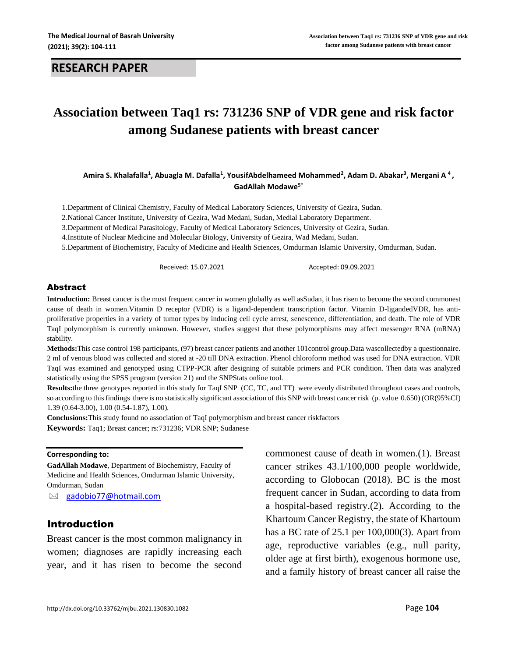# **Association between Taq1 rs: 731236 SNP of VDR gene and risk factor among Sudanese patients with breast cancer**

#### **Amira S. Khalafalla<sup>1</sup> , Abuagla M. Dafalla<sup>1</sup> , YousifAbdelhameed Mohammed<sup>2</sup> , Adam D. Abakar<sup>3</sup> , Mergani A <sup>4</sup> , GadAllah Modawe5\***

1.Department of Clinical Chemistry, Faculty of Medical Laboratory Sciences, University of Gezira, Sudan.

2.National Cancer Institute, University of Gezira, Wad Medani, Sudan, Medial Laboratory Department.

3.Department of Medical Parasitology, Faculty of Medical Laboratory Sciences, University of Gezira, Sudan.

4.Institute of Nuclear Medicine and Molecular Biology, University of Gezira, Wad Medani, Sudan.

5.Department of Biochemistry, Faculty of Medicine and Health Sciences, Omdurman Islamic University, Omdurman, Sudan.

Received: 15.07.2021 Accepted: 09.09.2021

#### Abstract

**Introduction:** Breast cancer is the most frequent cancer in women globally as well asSudan, it has risen to become the second commonest cause of death in women.Vitamin D receptor (VDR) is a ligand-dependent transcription factor. Vitamin D-ligandedVDR, has antiproliferative properties in a variety of tumor types by inducing cell cycle arrest, senescence, differentiation, and death. The role of VDR TaqI polymorphism is currently unknown. However, studies suggest that these polymorphisms may affect messenger RNA (mRNA) stability.

**Methods:**This case control 198 participants, (97) breast cancer patients and another 101control group.Data wascollectedby a questionnaire. 2 ml of venous blood was collected and stored at -20 till DNA extraction. Phenol chloroform method was used for DNA extraction. VDR TaqI was examined and genotyped using CTPP-PCR after designing of suitable primers and PCR condition. Then data was analyzed statistically using the SPSS program (version 21) and the SNPStats online tool.

**Results:**the three genotypes reported in this study for TaqI SNP (CC, TC, and TT) were evenly distributed throughout cases and controls, so according to this findings there is no statistically significant association of this SNP with breast cancer risk (p. value 0.650) (OR(95%CI) 1.39 (0.64-3.00), 1.00 (0.54-1.87), 1.00).

**Conclusions:**This study found no association of TaqI polymorphism and breast cancer riskfactors

**Keywords:** Taq1; Breast cancer; rs:731236; VDR SNP; Sudanese

#### **Corresponding to:**

**GadAllah Modawe**, Department of Biochemistry, Faculty of Medicine and Health Sciences, Omdurman Islamic University, Omdurman, Sudan

[gadobio77@hotmail.com](mailto:gadobio77@hotmail.com)

#### Introduction

Breast cancer is the most common malignancy in women; diagnoses are rapidly increasing each year, and it has risen to become the second commonest cause of death in women.(1). Breast cancer strikes 43.1/100,000 people worldwide, according to Globocan (2018). BC is the most frequent cancer in Sudan, according to data from a hospital-based registry.(2). According to the Khartoum Cancer Registry, the state of Khartoum has a BC rate of 25.1 per 100,000(3). Apart from age, reproductive variables (e.g., null parity, older age at first birth), exogenous hormone use, and a family history of breast cancer all raise the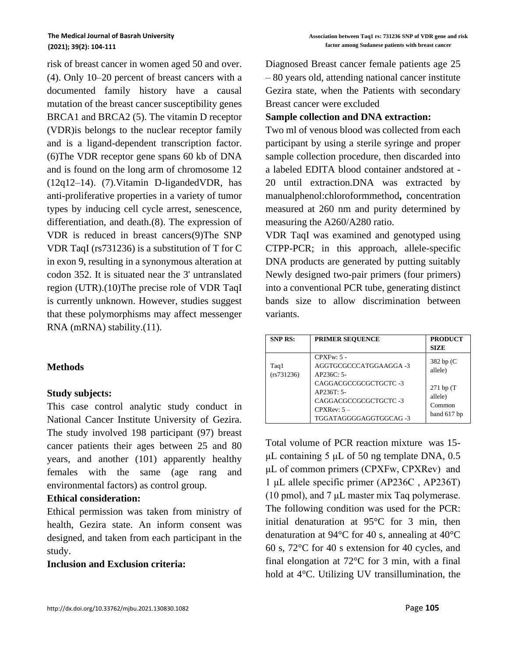risk of breast cancer in women aged 50 and over. (4). Only 10–20 percent of breast cancers with a documented family history have a causal mutation of the breast cancer susceptibility genes BRCA1 and BRCA2 (5). The vitamin D receptor (VDR)is belongs to the nuclear receptor family and is a ligand-dependent transcription factor. (6)The VDR receptor gene spans 60 kb of DNA and is found on the long arm of chromosome 12 (12q12–14). (7).Vitamin D-ligandedVDR, has anti-proliferative properties in a variety of tumor types by inducing cell cycle arrest, senescence, differentiation, and death.(8). The expression of VDR is reduced in breast cancers(9)The SNP VDR TaqI (rs731236) is a substitution of T for C in exon 9, resulting in a synonymous alteration at codon 352. It is situated near the 3' untranslated region (UTR).(10)The precise role of VDR TaqI is currently unknown. However, studies suggest that these polymorphisms may affect messenger RNA (mRNA) stability.(11).

## **Methods**

## **Study subjects:**

This case control analytic study conduct in National Cancer Institute University of Gezira. The study involved 198 participant (97) breast cancer patients their ages between 25 and 80 years, and another (101) apparently healthy females with the same (age rang and environmental factors) as control group.

## **Ethical consideration:**

Ethical permission was taken from ministry of health, Gezira state. An inform consent was designed, and taken from each participant in the study.

## **Inclusion and Exclusion criteria:**

Diagnosed Breast cancer female patients age 25 – 80 years old, attending national cancer institute Gezira state, when the Patients with secondary Breast cancer were excluded

# **Sample collection and DNA extraction:**

Two ml of venous blood was collected from each participant by using a sterile syringe and proper sample collection procedure, then discarded into a labeled EDITA blood container andstored at - 20 until extraction.DNA was extracted by manualphenol:chloroformmethod**,** concentration measured at 260 nm and purity determined by measuring the A260/A280 ratio.

VDR TaqI was examined and genotyped using CTPP-PCR; in this approach, allele-specific DNA products are generated by putting suitably Newly designed two-pair primers (four primers) into a conventional PCR tube, generating distinct bands size to allow discrimination between variants.

| <b>SNP RS:</b>     | <b>PRIMER SEQUENCE</b>                                                                                                                                           | <b>PRODUCT</b><br><b>SIZE</b>                                               |
|--------------------|------------------------------------------------------------------------------------------------------------------------------------------------------------------|-----------------------------------------------------------------------------|
| Taq1<br>(rs731236) | $CPX Fw: 5 -$<br>AGGTGCGCCCATGGAAGGA-3<br>AP236C: 5-<br>CAGGACGCCGCGCTGCTC-3<br>$AP236T: 5-$<br>CAGGACGCCGCGCTGCTC -3<br>$CPXRev: 5 -$<br>TGGATAGGGGAGGTGGCAG -3 | 382 bp (C)<br>allele)<br>$271$ bp $(T)$<br>allele)<br>Common<br>band 617 bp |

Total volume of PCR reaction mixture was 15 μL containing 5 μL of 50 ng template DNA, 0.5 μL of common primers (CPXFw, CPXRev) and 1 μL allele specific primer (AP236C , AP236T) (10 pmol), and 7 μL master mix Taq polymerase. The following condition was used for the PCR: initial denaturation at 95°C for 3 min, then denaturation at 94°C for 40 s, annealing at 40°C 60 s, 72°C for 40 s extension for 40 cycles, and final elongation at 72°C for 3 min, with a final hold at 4°C. Utilizing UV transillumination, the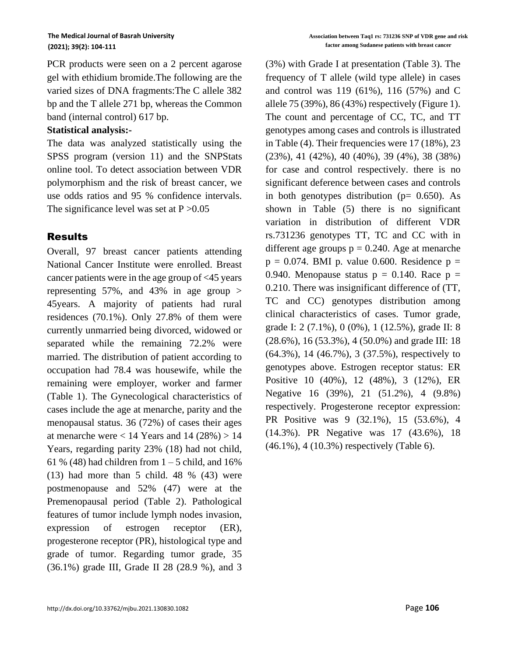PCR products were seen on a 2 percent agarose gel with ethidium bromide.The following are the varied sizes of DNA fragments:The C allele 382 bp and the T allele 271 bp, whereas the Common band (internal control) 617 bp.

### **Statistical analysis:-**

The data was analyzed statistically using the SPSS program (version 11) and the SNPStats online tool. To detect association between VDR polymorphism and the risk of breast cancer, we use odds ratios and 95 % confidence intervals. The significance level was set at  $P > 0.05$ 

## Results

Overall, 97 breast cancer patients attending National Cancer Institute were enrolled. Breast cancer patients were in the age group of <45 years representing 57%, and 43% in age group  $>$ 45years. A majority of patients had rural residences (70.1%). Only 27.8% of them were currently unmarried being divorced, widowed or separated while the remaining 72.2% were married. The distribution of patient according to occupation had 78.4 was housewife, while the remaining were employer, worker and farmer (Table 1). The Gynecological characteristics of cases include the age at menarche, parity and the menopausal status. 36 (72%) of cases their ages at menarche were  $< 14$  Years and 14 (28%)  $> 14$ Years, regarding parity 23% (18) had not child, 61 % (48) had children from  $1 - 5$  child, and 16%  $(13)$  had more than 5 child. 48 %  $(43)$  were postmenopause and 52% (47) were at the Premenopausal period (Table 2). Pathological features of tumor include lymph nodes invasion, expression of estrogen receptor (ER), progesterone receptor (PR), histological type and grade of tumor. Regarding tumor grade, 35 (36.1%) grade III, Grade II 28 (28.9 %), and 3 (3%) with Grade I at presentation (Table 3). The frequency of T allele (wild type allele) in cases and control was 119 (61%), 116 (57%) and C allele 75 (39%), 86 (43%) respectively (Figure 1). The count and percentage of CC, TC, and TT genotypes among cases and controls is illustrated in Table (4). Their frequencies were 17 (18%), 23 (23%), 41 (42%), 40 (40%), 39 (4%), 38 (38%) for case and control respectively. there is no significant deference between cases and controls in both genotypes distribution ( $p= 0.650$ ). As shown in Table (5) there is no significant variation in distribution of different VDR rs.731236 genotypes TT, TC and CC with in different age groups  $p = 0.240$ . Age at menarche  $p = 0.074$ . BMI p. value 0.600. Residence  $p =$ 0.940. Menopause status  $p = 0.140$ . Race  $p =$ 0.210. There was insignificant difference of (TT, TC and CC) genotypes distribution among clinical characteristics of cases. Tumor grade, grade I: 2 (7.1%), 0 (0%), 1 (12.5%), grade II: 8 (28.6%), 16 (53.3%), 4 (50.0%) and grade III: 18 (64.3%), 14 (46.7%), 3 (37.5%), respectively to genotypes above. Estrogen receptor status: ER Positive 10 (40%), 12 (48%), 3 (12%), ER Negative 16 (39%), 21 (51.2%), 4 (9.8%) respectively. Progesterone receptor expression: PR Positive was 9 (32.1%), 15 (53.6%), 4 (14.3%). PR Negative was 17 (43.6%), 18 (46.1%), 4 (10.3%) respectively (Table 6).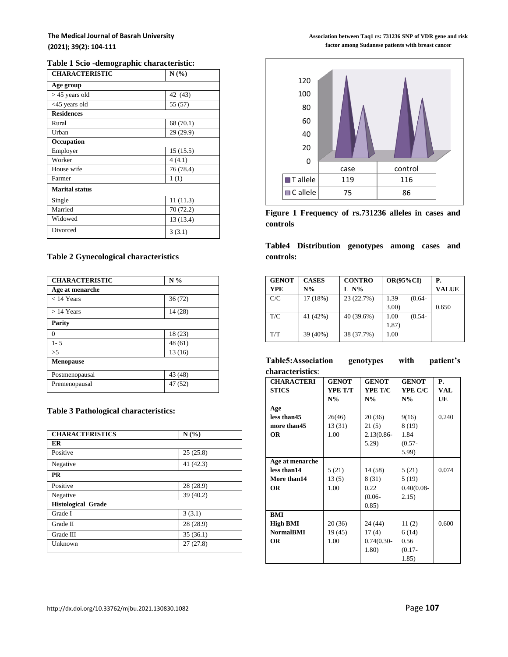#### **The Medical Journal of Basrah University (2021); 39(2): 104-111**

#### **Table 1 Scio -demographic characteristic:**

| <b>CHARACTERISTIC</b> | N(%)      |
|-----------------------|-----------|
| Age group             |           |
| $> 45$ years old      | 42 (43)   |
| $<45$ years old       | 55 (57)   |
| <b>Residences</b>     |           |
| Rural                 | 68 (70.1) |
| Urban                 | 29 (29.9) |
| Occupation            |           |
| Employer              | 15(15.5)  |
| Worker                | 4(4.1)    |
| House wife            | 76 (78.4) |
| Farmer                | 1(1)      |
| <b>Marital status</b> |           |
| Single                | 11(11.3)  |
| Married               | 70 (72.2) |
| Widowed               | 13 (13.4) |
| Divorced              | 3(3.1)    |

#### **Table 2 Gynecological characteristics**

| <b>CHARACTERISTIC</b> | N%      |
|-----------------------|---------|
| Age at menarche       |         |
| $<$ 14 Years          | 36(72)  |
| $>14$ Years           | 14(28)  |
| <b>Parity</b>         |         |
| $\Omega$              | 18 (23) |
| $1 - 5$               | 48 (61) |
| >5                    | 13(16)  |
| <b>Menopause</b>      |         |
| Postmenopausal        | 43 (48) |
| Premenopausal         | 47 (52) |

#### **Table 3 Pathological characteristics:**

| <b>CHARACTERISTICS</b>    | N(%)      |
|---------------------------|-----------|
| ER                        |           |
| Positive                  | 25(25.8)  |
| Negative                  | 41 (42.3) |
| <b>PR</b>                 |           |
| Positive                  | 28 (28.9) |
| Negative                  | 39(40.2)  |
| <b>Histological Grade</b> |           |
| Grade I                   | 3(3.1)    |
| Grade II                  | 28 (28.9) |
| Grade III                 | 35(36.1)  |
| Unknown                   | 27(27.8)  |

**Association between Taq1 rs: 731236 SNP of VDR gene and risk factor among Sudanese patients with breast cancer**



**Figure 1 Frequency of rs.731236 alleles in cases and controls**

**Table4 Distribution genotypes among cases and controls:**

| <b>GENOT</b> | <b>CASES</b> | <b>CONTRO</b> | $OR(95\%CI)$      | <b>P.</b>    |
|--------------|--------------|---------------|-------------------|--------------|
| <b>YPE</b>   | $N\%$        | $L N\%$       |                   | <b>VALUE</b> |
| C/C          | 17(18%)      | 23 (22.7%)    | 1.39<br>$(0.64 -$ |              |
|              |              |               | $3.00$ )          | 0.650        |
| T/C          | 41 (42%)     | 40 (39.6%)    | 1.00<br>$(0.54 -$ |              |
|              |              |               | 1.87)             |              |
| T/T          | 39 (40%)     | 38 (37.7%)    | 1.00              |              |

**Table5:Association genotypes with patient's characteristics**:

| <b>CHARACTERI</b> | <b>GENOT</b> | <b>GENOT</b> | <b>GENOT</b>   | Р.    |
|-------------------|--------------|--------------|----------------|-------|
| <b>STICS</b>      | YPE T/T      | YPE T/C      | <b>YPE C/C</b> | VAL   |
|                   | $N\%$        | $N\%$        | $N\%$          | UE    |
| Age               |              |              |                |       |
| less than 45      | 26(46)       | 20(36)       | 9(16)          | 0.240 |
| more than 45      | 13(31)       | 21(5)        | 8(19)          |       |
| <b>OR</b>         | 1.00         | 2.13(0.86-   | 1.84           |       |
|                   |              | 5.29         | $(0.57 -$      |       |
|                   |              |              | 5.99)          |       |
| Age at menarche   |              |              |                |       |
| less than14       | 5(21)        | 14 (58)      | 5(21)          | 0.074 |
| More than14       | 13(5)        | 8 (31)       | 5(19)          |       |
| <b>OR</b>         | 1.00         | 0.22         | $0.40(0.08 -$  |       |
|                   |              | $(0.06 -$    | 2.15)          |       |
|                   |              | 0.85)        |                |       |
| BMI               |              |              |                |       |
| <b>High BMI</b>   | 20(36)       | 24 (44)      | 11(2)          | 0.600 |
| <b>NormalBMI</b>  | 19(45)       | 17(4)        | 6(14)          |       |
| <b>OR</b>         | 1.00         | $0.74(0.30-$ | 0.56           |       |
|                   |              | 1.80)        | $(0.17 -$      |       |
|                   |              |              | 1.85)          |       |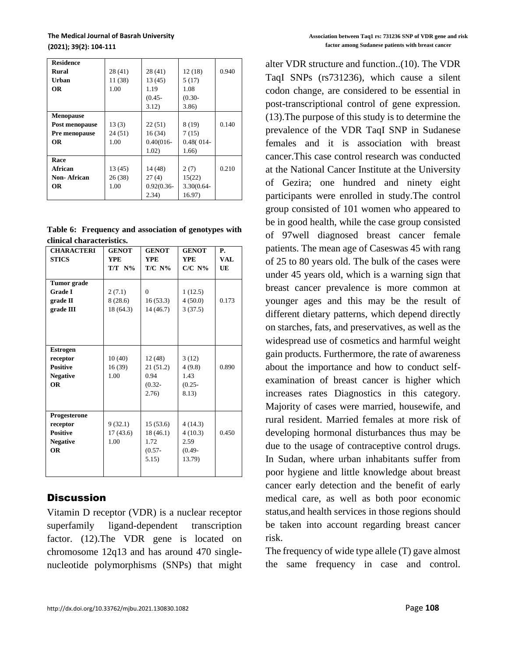#### **The Medical Journal of Basrah University (2021); 39(2): 104-111**

| <b>Residence</b> |         |               |              |       |
|------------------|---------|---------------|--------------|-------|
| Rural            | 28(41)  | 28(41)        | 12(18)       | 0.940 |
| Urban            | 11 (38) | 13(45)        | 5(17)        |       |
| OR               | 1.00    | 1.19          | 1.08         |       |
|                  |         | $(0.45 -$     | $(0.30 -$    |       |
|                  |         | 3.12)         | 3.86         |       |
| <b>Menopause</b> |         |               |              |       |
| Post menopause   | 13(3)   | 22(51)        | 8 (19)       | 0.140 |
| Pre menopause    | 24(51)  | 16(34)        | 7(15)        |       |
| <b>OR</b>        | 1.00    | $0.40(016 -$  | $0.48(014 -$ |       |
|                  |         | 1.02)         | 1.66)        |       |
| Race             |         |               |              |       |
| African          | 13 (45) | 14 (48)       | 2(7)         | 0.210 |
| Non-African      | 26(38)  | 27(4)         | 15(22)       |       |
| <b>OR</b>        | 1.00    | $0.92(0.36 -$ | 3.30(0.64-   |       |
|                  |         | 2.34)         | 16.97)       |       |

|                           | Table 6: Frequency and association of genotypes with |  |  |
|---------------------------|------------------------------------------------------|--|--|
| clinical characteristics. |                                                      |  |  |

| <b>CHARACTERI</b><br><b>STICS</b>                                                                                                               | <b>GENOT</b><br><b>YPE</b><br>$T/T N\%$                    | <b>GENOT</b><br><b>YPE</b><br>$T/C$ N%                                                | <b>GENOT</b><br><b>YPE</b><br>$C/C$ N%                                         | <b>P.</b><br>VAL<br>UE |
|-------------------------------------------------------------------------------------------------------------------------------------------------|------------------------------------------------------------|---------------------------------------------------------------------------------------|--------------------------------------------------------------------------------|------------------------|
| <b>Tumor</b> grade<br><b>Grade I</b><br>grade II<br>grade III<br><b>Estrogen</b><br>receptor<br><b>Positive</b><br><b>Negative</b><br><b>OR</b> | 2(7.1)<br>8(28.6)<br>18 (64.3)<br>10(40)<br>16(39)<br>1.00 | $\Omega$<br>16(53.3)<br>14(46.7)<br>12(48)<br>21 (51.2)<br>0.94<br>$(0.32 -$<br>2.76) | 1(12.5)<br>4(50.0)<br>3(37.5)<br>3(12)<br>4(9.8)<br>1.43<br>$(0.25 -$<br>8.13) | 0.173<br>0.890         |
| Progesterone<br>receptor<br><b>Positive</b><br><b>Negative</b><br><b>OR</b>                                                                     | 9(32.1)<br>17(43.6)<br>1.00                                | 15(53.6)<br>18(46.1)<br>1.72<br>$(0.57 -$<br>5.15)                                    | 4(14.3)<br>4(10.3)<br>2.59<br>$(0.49 -$<br>13.79)                              | 0.450                  |

# **Discussion**

Vitamin D receptor (VDR) is a nuclear receptor superfamily ligand-dependent transcription factor. (12).The VDR gene is located on chromosome 12q13 and has around 470 singlenucleotide polymorphisms (SNPs) that might

alter VDR structure and function..(10). The VDR TaqI SNPs (rs731236), which cause a silent codon change, are considered to be essential in post-transcriptional control of gene expression. (13).The purpose of this study is to determine the prevalence of the VDR TaqI SNP in Sudanese females and it is association with breast cancer.This case control research was conducted at the National Cancer Institute at the University of Gezira; one hundred and ninety eight participants were enrolled in study.The control group consisted of 101 women who appeared to be in good health, while the case group consisted of 97well diagnosed breast cancer female patients. The mean age of Caseswas 45 with rang of 25 to 80 years old. The bulk of the cases were under 45 years old, which is a warning sign that breast cancer prevalence is more common at younger ages and this may be the result of different dietary patterns, which depend directly on starches, fats, and preservatives, as well as the widespread use of cosmetics and harmful weight gain products. Furthermore, the rate of awareness about the importance and how to conduct selfexamination of breast cancer is higher which increases rates Diagnostics in this category. Majority of cases were married, housewife, and rural resident. Married females at more risk of developing hormonal disturbances thus may be due to the usage of contraceptive control drugs. In Sudan, where urban inhabitants suffer from poor hygiene and little knowledge about breast cancer early detection and the benefit of early medical care, as well as both poor economic status,and health services in those regions should be taken into account regarding breast cancer risk.

The frequency of wide type allele (T) gave almost the same frequency in case and control.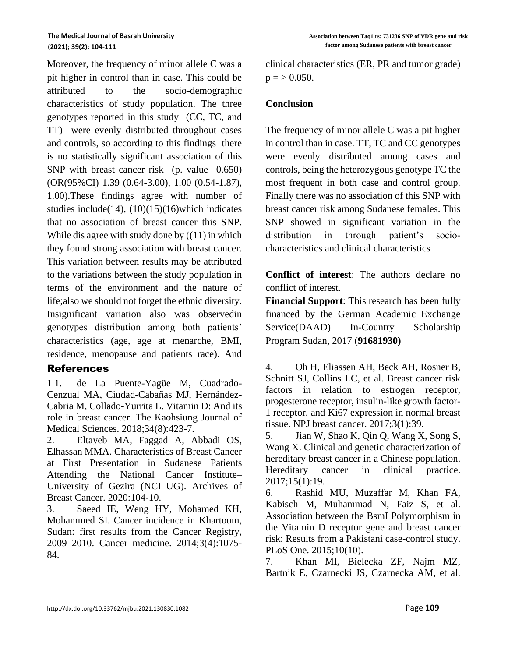Moreover, the frequency of minor allele C was a pit higher in control than in case. This could be attributed to the socio-demographic characteristics of study population. The three genotypes reported in this study (CC, TC, and TT) were evenly distributed throughout cases and controls, so according to this findings there is no statistically significant association of this SNP with breast cancer risk (p. value 0.650) (OR(95%CI) 1.39 (0.64-3.00), 1.00 (0.54-1.87), 1.00).These findings agree with number of studies include(14),  $(10)(15)(16)$  which indicates that no association of breast cancer this SNP. While dis agree with study done by  $((11)$  in which they found strong association with breast cancer. This variation between results may be attributed to the variations between the study population in terms of the environment and the nature of life;also we should not forget the ethnic diversity. Insignificant variation also was observedin genotypes distribution among both patients' characteristics (age, age at menarche, BMI, residence, menopause and patients race). And

## References

1 1. de La Puente-Yagüe M, Cuadrado-Cenzual MA, Ciudad-Cabañas MJ, Hernández-Cabria M, Collado-Yurrita L. Vitamin D: And its role in breast cancer. The Kaohsiung Journal of Medical Sciences. 2018;34(8):423-7.

2. Eltayeb MA, Faggad A, Abbadi OS, Elhassan MMA. Characteristics of Breast Cancer at First Presentation in Sudanese Patients Attending the National Cancer Institute– University of Gezira (NCI–UG). Archives of Breast Cancer. 2020:104-10.

3. Saeed IE, Weng HY, Mohamed KH, Mohammed SI. Cancer incidence in Khartoum, Sudan: first results from the Cancer Registry, 2009–2010. Cancer medicine. 2014;3(4):1075- 84.

clinical characteristics (ER, PR and tumor grade)  $p = > 0.050$ .

## **Conclusion**

The frequency of minor allele C was a pit higher in control than in case. TT, TC and CC genotypes were evenly distributed among cases and controls, being the heterozygous genotype TC the most frequent in both case and control group. Finally there was no association of this SNP with breast cancer risk among Sudanese females. This SNP showed in significant variation in the distribution in through patient's sociocharacteristics and clinical characteristics

**Conflict of interest**: The authors declare no conflict of interest.

**Financial Support**: This research has been fully financed by the German Academic Exchange Service(DAAD) In-Country Scholarship Program Sudan, 2017 (**91681930)**

4. Oh H, Eliassen AH, Beck AH, Rosner B, Schnitt SJ, Collins LC, et al. Breast cancer risk factors in relation to estrogen receptor, progesterone receptor, insulin-like growth factor-1 receptor, and Ki67 expression in normal breast tissue. NPJ breast cancer. 2017;3(1):39.

5. Jian W, Shao K, Qin Q, Wang X, Song S, Wang X. Clinical and genetic characterization of hereditary breast cancer in a Chinese population. Hereditary cancer in clinical practice. 2017;15(1):19.

6. Rashid MU, Muzaffar M, Khan FA, Kabisch M, Muhammad N, Faiz S, et al. Association between the BsmI Polymorphism in the Vitamin D receptor gene and breast cancer risk: Results from a Pakistani case-control study. PLoS One. 2015;10(10).

7. Khan MI, Bielecka ZF, Najm MZ, Bartnik E, Czarnecki JS, Czarnecka AM, et al.